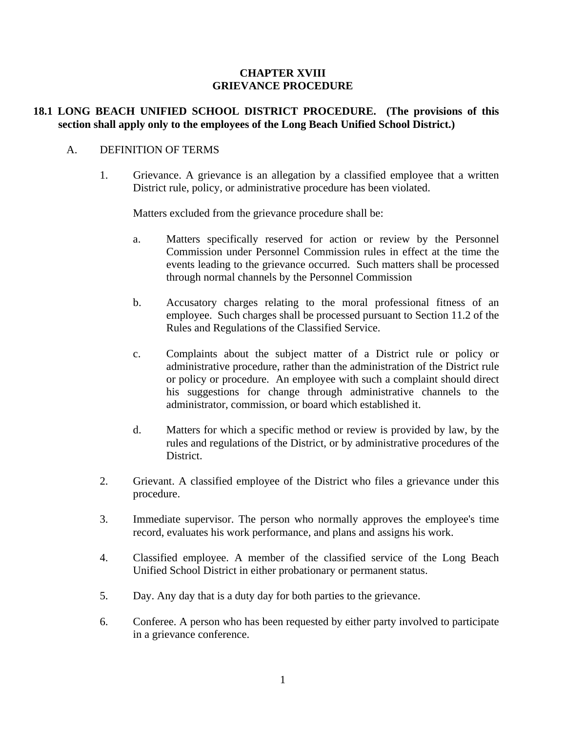#### **CHAPTER XVIII GRIEVANCE PROCEDURE**

## **18.1 LONG BEACH UNIFIED SCHOOL DISTRICT PROCEDURE. (The provisions of this section shall apply only to the employees of the Long Beach Unified School District.)**

#### A. DEFINITION OF TERMS

 1. Grievance. A grievance is an allegation by a classified employee that a written District rule, policy, or administrative procedure has been violated.

Matters excluded from the grievance procedure shall be:

- a. Matters specifically reserved for action or review by the Personnel Commission under Personnel Commission rules in effect at the time the events leading to the grievance occurred. Such matters shall be processed through normal channels by the Personnel Commission
- b. Accusatory charges relating to the moral professional fitness of an employee. Such charges shall be processed pursuant to Section 11.2 of the Rules and Regulations of the Classified Service.
- c. Complaints about the subject matter of a District rule or policy or administrative procedure, rather than the administration of the District rule or policy or procedure. An employee with such a complaint should direct his suggestions for change through administrative channels to the administrator, commission, or board which established it.
- d. Matters for which a specific method or review is provided by law, by the rules and regulations of the District, or by administrative procedures of the District.
- 2. Grievant. A classified employee of the District who files a grievance under this procedure.
- 3. Immediate supervisor. The person who normally approves the employee's time record, evaluates his work performance, and plans and assigns his work.
- 4. Classified employee. A member of the classified service of the Long Beach Unified School District in either probationary or permanent status.
- 5. Day. Any day that is a duty day for both parties to the grievance.
- 6. Conferee. A person who has been requested by either party involved to participate in a grievance conference.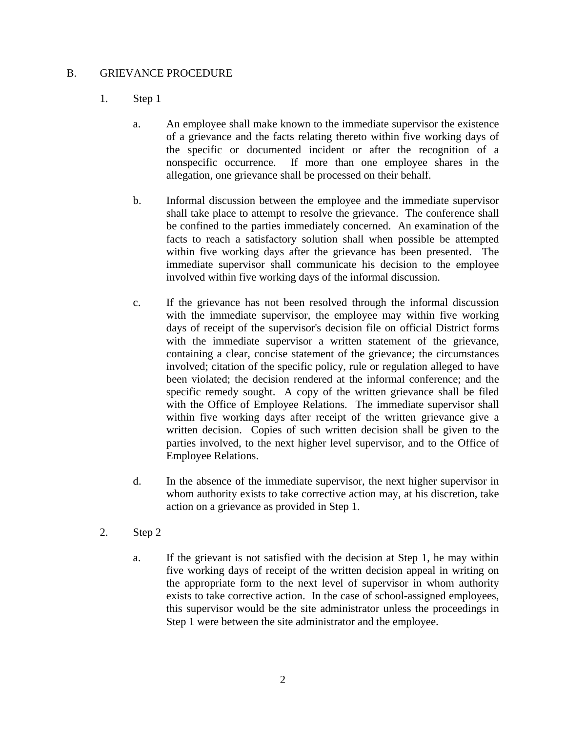### B. GRIEVANCE PROCEDURE

# 1. Step 1

- a. An employee shall make known to the immediate supervisor the existence of a grievance and the facts relating thereto within five working days of the specific or documented incident or after the recognition of a nonspecific occurrence. If more than one employee shares in the allegation, one grievance shall be processed on their behalf.
- b. Informal discussion between the employee and the immediate supervisor shall take place to attempt to resolve the grievance. The conference shall be confined to the parties immediately concerned. An examination of the facts to reach a satisfactory solution shall when possible be attempted within five working days after the grievance has been presented. The immediate supervisor shall communicate his decision to the employee involved within five working days of the informal discussion.
- c. If the grievance has not been resolved through the informal discussion with the immediate supervisor, the employee may within five working days of receipt of the supervisor's decision file on official District forms with the immediate supervisor a written statement of the grievance, containing a clear, concise statement of the grievance; the circumstances involved; citation of the specific policy, rule or regulation alleged to have been violated; the decision rendered at the informal conference; and the specific remedy sought. A copy of the written grievance shall be filed with the Office of Employee Relations. The immediate supervisor shall within five working days after receipt of the written grievance give a written decision. Copies of such written decision shall be given to the parties involved, to the next higher level supervisor, and to the Office of Employee Relations.
- d. In the absence of the immediate supervisor, the next higher supervisor in whom authority exists to take corrective action may, at his discretion, take action on a grievance as provided in Step 1.
- 2. Step 2
	- a. If the grievant is not satisfied with the decision at Step 1, he may within five working days of receipt of the written decision appeal in writing on the appropriate form to the next level of supervisor in whom authority exists to take corrective action. In the case of school-assigned employees, this supervisor would be the site administrator unless the proceedings in Step 1 were between the site administrator and the employee.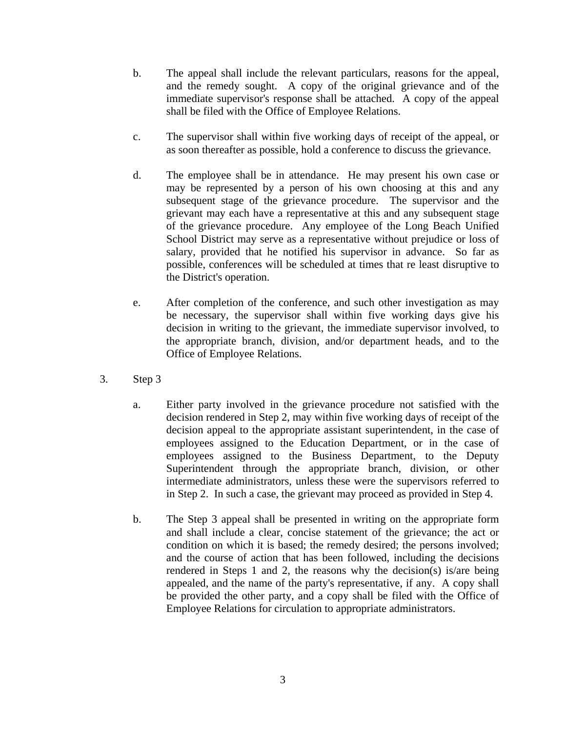- b. The appeal shall include the relevant particulars, reasons for the appeal, and the remedy sought. A copy of the original grievance and of the immediate supervisor's response shall be attached. A copy of the appeal shall be filed with the Office of Employee Relations.
- c. The supervisor shall within five working days of receipt of the appeal, or as soon thereafter as possible, hold a conference to discuss the grievance.
- d. The employee shall be in attendance. He may present his own case or may be represented by a person of his own choosing at this and any subsequent stage of the grievance procedure. The supervisor and the grievant may each have a representative at this and any subsequent stage of the grievance procedure. Any employee of the Long Beach Unified School District may serve as a representative without prejudice or loss of salary, provided that he notified his supervisor in advance. So far as possible, conferences will be scheduled at times that re least disruptive to the District's operation.
- e. After completion of the conference, and such other investigation as may be necessary, the supervisor shall within five working days give his decision in writing to the grievant, the immediate supervisor involved, to the appropriate branch, division, and/or department heads, and to the Office of Employee Relations.
- 3. Step 3
	- a. Either party involved in the grievance procedure not satisfied with the decision rendered in Step 2, may within five working days of receipt of the decision appeal to the appropriate assistant superintendent, in the case of employees assigned to the Education Department, or in the case of employees assigned to the Business Department, to the Deputy Superintendent through the appropriate branch, division, or other intermediate administrators, unless these were the supervisors referred to in Step 2. In such a case, the grievant may proceed as provided in Step 4.
	- b. The Step 3 appeal shall be presented in writing on the appropriate form and shall include a clear, concise statement of the grievance; the act or condition on which it is based; the remedy desired; the persons involved; and the course of action that has been followed, including the decisions rendered in Steps 1 and 2, the reasons why the decision(s) is/are being appealed, and the name of the party's representative, if any. A copy shall be provided the other party, and a copy shall be filed with the Office of Employee Relations for circulation to appropriate administrators.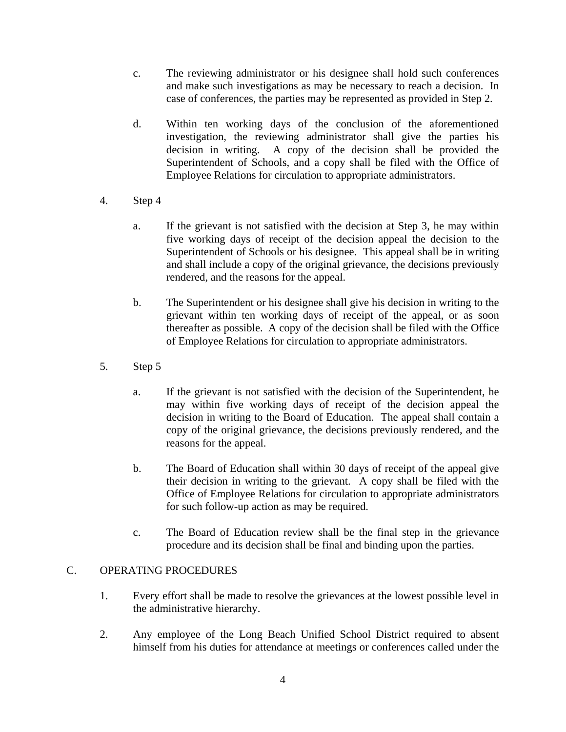- c. The reviewing administrator or his designee shall hold such conferences and make such investigations as may be necessary to reach a decision. In case of conferences, the parties may be represented as provided in Step 2.
- d. Within ten working days of the conclusion of the aforementioned investigation, the reviewing administrator shall give the parties his decision in writing. A copy of the decision shall be provided the Superintendent of Schools, and a copy shall be filed with the Office of Employee Relations for circulation to appropriate administrators.
- 4. Step 4
	- a. If the grievant is not satisfied with the decision at Step 3, he may within five working days of receipt of the decision appeal the decision to the Superintendent of Schools or his designee. This appeal shall be in writing and shall include a copy of the original grievance, the decisions previously rendered, and the reasons for the appeal.
	- b. The Superintendent or his designee shall give his decision in writing to the grievant within ten working days of receipt of the appeal, or as soon thereafter as possible. A copy of the decision shall be filed with the Office of Employee Relations for circulation to appropriate administrators.
- 5. Step 5
	- a. If the grievant is not satisfied with the decision of the Superintendent, he may within five working days of receipt of the decision appeal the decision in writing to the Board of Education. The appeal shall contain a copy of the original grievance, the decisions previously rendered, and the reasons for the appeal.
	- b. The Board of Education shall within 30 days of receipt of the appeal give their decision in writing to the grievant. A copy shall be filed with the Office of Employee Relations for circulation to appropriate administrators for such follow-up action as may be required.
	- c. The Board of Education review shall be the final step in the grievance procedure and its decision shall be final and binding upon the parties.

# C. OPERATING PROCEDURES

- 1. Every effort shall be made to resolve the grievances at the lowest possible level in the administrative hierarchy.
- 2. Any employee of the Long Beach Unified School District required to absent himself from his duties for attendance at meetings or conferences called under the